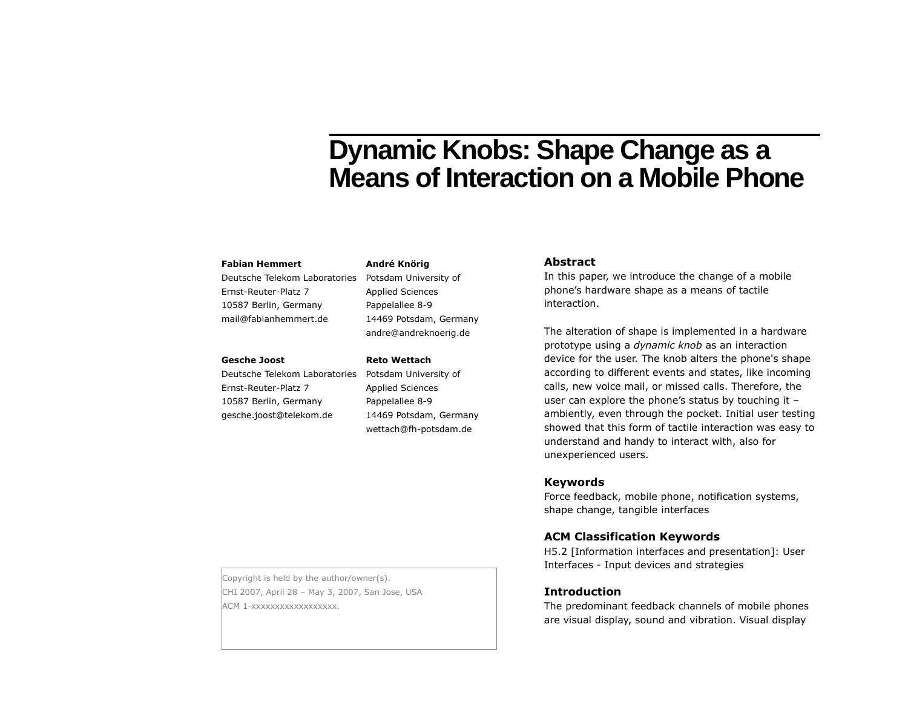# **Dynamic Knobs: Shape Change as a Means of Interaction on a Mobile Phone**

#### **Fabian Hemmert**

Deutsche Telekom Laboratories Ernst-Reuter-Platz 7 10587 Berlin, Germany mail@fabianhemmert.de

#### **Gesche Joost**

Deutsche Telekom Laboratories Potsdam University of Ernst-Reuter-Platz 7 10587 Berlin, Germany gesche.joost@telekom.de

#### **André Knörig**

Potsdam University of Applied Sciences Pappelallee 8-9 14469 Potsdam, Germany andre@andreknoerig.de

#### **Reto Wettach**

Applied Sciences Pappelallee 8-9 14469 Potsdam, Germany wettach@fh-potsdam.de

#### **Abstract**

In this paper, we introduce the change of a mobile phone's hardware shape as a means of tactile interaction.

The alteration of shape is implemented in a hardware prototype using a *dynamic knob* as an interaction device for the user. The knob alters the phone's shape according to different events and states, like incoming calls, new voice mail, or missed calls. Therefore, the user can explore the phone's status by touching it – ambiently, even through the pocket. Initial user testing showed that this form of tactile interaction was easy to understand and handy to interact with, also for unexperienced users.

# **Keywords**

Force feedback, mobile phone, notification systems, shape change, tangible interfaces

# **ACM Classification Keywords**

H5.2 [Information interfaces and presentation]: User Interfaces - Input devices and strategies

# **Introduction**

The predominant feedback channels of mobile phones are visual display, sound and vibration. Visual display

Copyright is held by the author/owner(s). CHI 2007, April 28 – May 3, 2007, San Jose, USA ACM 1-xxxxxxxxxxxxxxxxxx.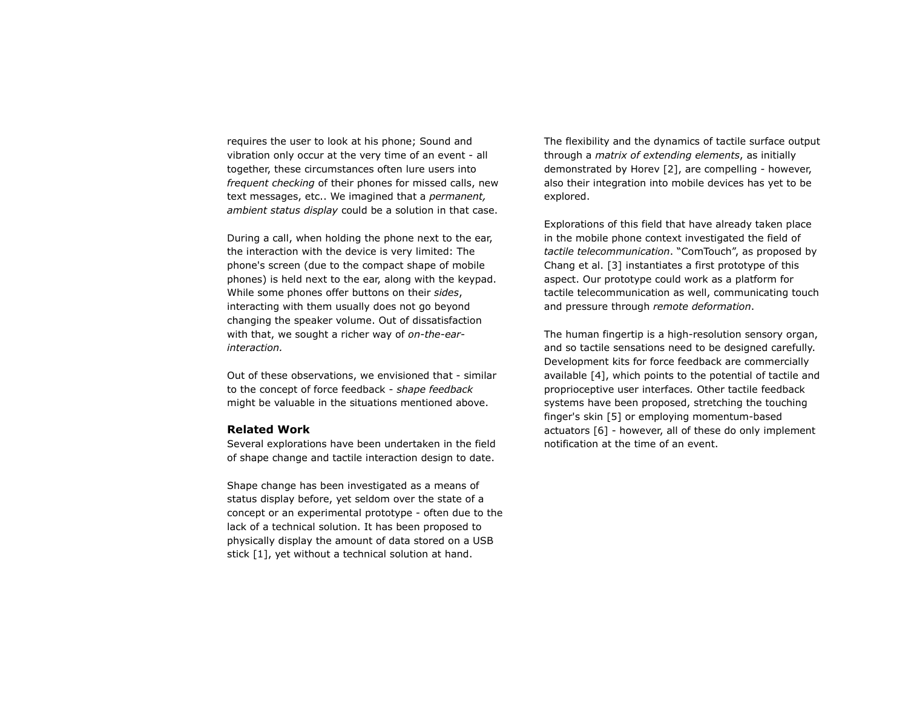requires the user to look at his phone; Sound and vibration only occur at the very time of an event - all together, these circumstances often lure users into *frequent checking* of their phones for missed calls, new text messages, etc.. We imagined that a *permanent, ambient status display* could be a solution in that case.

During a call, when holding the phone next to the ear, the interaction with the device is very limited: The phone's screen (due to the compact shape of mobile phones) is held next to the ear, along with the keypad. While some phones offer buttons on their *sides*, interacting with them usually does not go beyond changing the speaker volume. Out of dissatisfaction with that, we sought a richer way of *on-the-earinteraction.*

Out of these observations, we envisioned that - similar to the concept of force feedback - *shape feedback* might be valuable in the situations mentioned above.

#### **Related Work**

Several explorations have been undertaken in the field of shape change and tactile interaction design to date.

Shape change has been investigated as a means of status display before, yet seldom over the state of a concept or an experimental prototype - often due to the lack of a technical solution. It has been proposed to physically display the amount of data stored on a USB stick [1], yet without a technical solution at hand.

The flexibility and the dynamics of tactile surface output through a *matrix of extending elements*, as initially demonstrated by Horev [2], are compelling - however, also their integration into mobile devices has yet to be explored.

Explorations of this field that have already taken place in the mobile phone context investigated the field of *tactile telecommunication*. "ComTouch", as proposed by Chang et al. [3] instantiates a first prototype of this aspect. Our prototype could work as a platform for tactile telecommunication as well, communicating touch and pressure through *remote deformation*.

The human fingertip is a high-resolution sensory organ, and so tactile sensations need to be designed carefully. Development kits for force feedback are commercially available [4], which points to the potential of tactile and proprioceptive user interfaces*.* Other tactile feedback systems have been proposed, stretching the touching finger's skin [5] or employing momentum-based actuators [6] - however, all of these do only implement notification at the time of an event.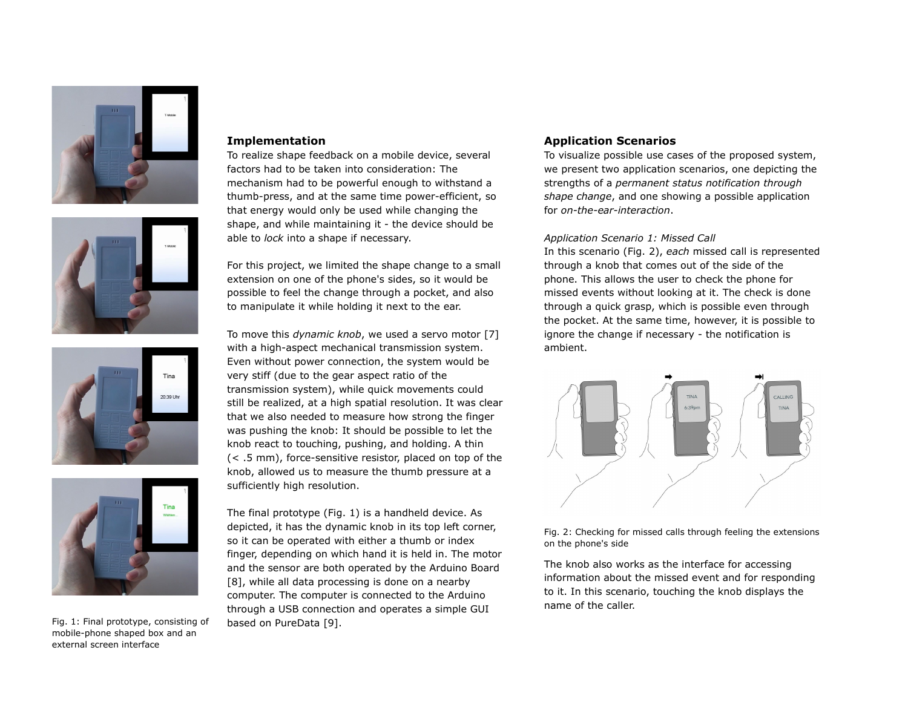







Fig. 1: Final prototype, consisting of mobile-phone shaped box and an external screen interface

## **Implementation**

To realize shape feedback on a mobile device, several factors had to be taken into consideration: The mechanism had to be powerful enough to withstand a thumb-press, and at the same time power-efficient, so that energy would only be used while changing the shape, and while maintaining it - the device should be able to *lock* into a shape if necessary.

For this project, we limited the shape change to a small extension on one of the phone's sides, so it would be possible to feel the change through a pocket, and also to manipulate it while holding it next to the ear.

To move this *dynamic knob*, we used a servo motor [7] with a high-aspect mechanical transmission system. Even without power connection, the system would be very stiff (due to the gear aspect ratio of the transmission system), while quick movements could still be realized, at a high spatial resolution. It was clear that we also needed to measure how strong the finger was pushing the knob: It should be possible to let the knob react to touching, pushing, and holding. A thin (< .5 mm), force-sensitive resistor, placed on top of the knob, allowed us to measure the thumb pressure at a sufficiently high resolution.

The final prototype (Fig. 1) is a handheld device. As depicted, it has the dynamic knob in its top left corner, so it can be operated with either a thumb or index finger, depending on which hand it is held in. The motor and the sensor are both operated by the Arduino Board [8], while all data processing is done on a nearby computer. The computer is connected to the Arduino through a USB connection and operates a simple GUI based on PureData [9].

# **Application Scenarios**

To visualize possible use cases of the proposed system, we present two application scenarios, one depicting the strengths of a *permanent status notification through shape change*, and one showing a possible application for *on-the-ear-interaction*.

#### *Application Scenario 1: Missed Call*

In this scenario (Fig. 2), *each* missed call is represented through a knob that comes out of the side of the phone. This allows the user to check the phone for missed events without looking at it. The check is done through a quick grasp, which is possible even through the pocket. At the same time, however, it is possible to ignore the change if necessary - the notification is ambient.



Fig. 2: Checking for missed calls through feeling the extensions on the phone's side

The knob also works as the interface for accessing information about the missed event and for responding to it. In this scenario, touching the knob displays the name of the caller.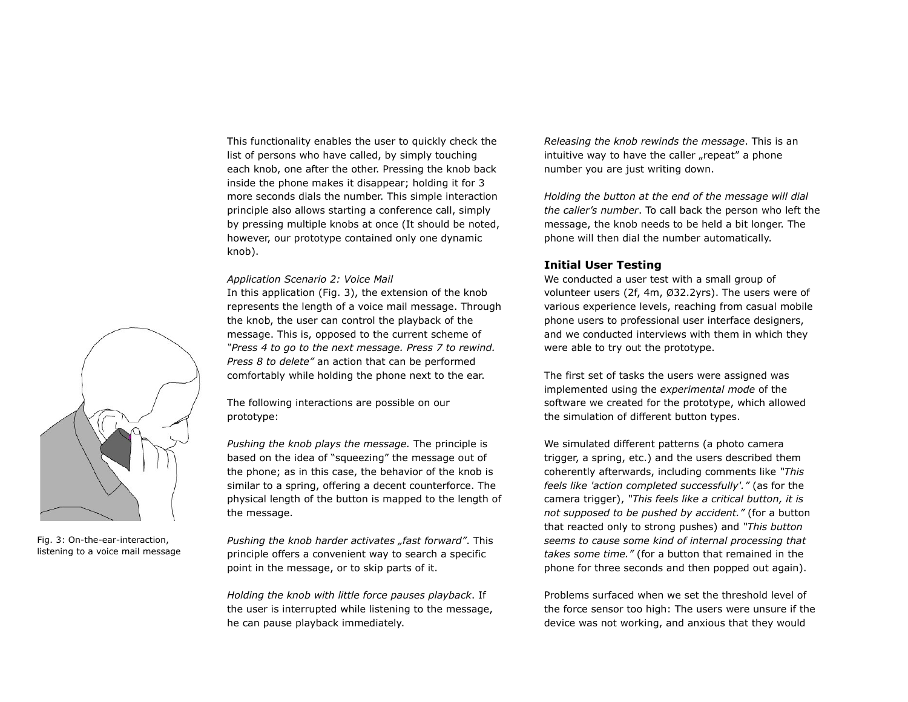This functionality enables the user to quickly check the list of persons who have called, by simply touching each knob, one after the other. Pressing the knob back inside the phone makes it disappear; holding it for 3 more seconds dials the number. This simple interaction principle also allows starting a conference call, simply by pressing multiple knobs at once (It should be noted, however, our prototype contained only one dynamic knob).

#### *Application Scenario 2: Voice Mail*

In this application (Fig. 3), the extension of the knob represents the length of a voice mail message. Through the knob, the user can control the playback of the message. This is, opposed to the current scheme of *"Press 4 to go to the next message. Press 7 to rewind. Press 8 to delete"* an action that can be performed comfortably while holding the phone next to the ear.

The following interactions are possible on our prototype:

*Pushing the knob plays the message.* The principle is based on the idea of "squeezing" the message out of the phone; as in this case, the behavior of the knob is similar to a spring, offering a decent counterforce. The physical length of the button is mapped to the length of the message.

*Pushing the knob harder activates "fast forward"*. This principle offers a convenient way to search a specific point in the message, or to skip parts of it.

*Holding the knob with little force pauses playback*. If the user is interrupted while listening to the message, he can pause playback immediately.

*Releasing the knob rewinds the message*. This is an intuitive way to have the caller "repeat" a phone number you are just writing down.

*Holding the button at the end of the message will dial the caller's number*. To call back the person who left the message, the knob needs to be held a bit longer. The phone will then dial the number automatically.

# **Initial User Testing**

We conducted a user test with a small group of volunteer users (2f, 4m, Ø32.2yrs). The users were of various experience levels, reaching from casual mobile phone users to professional user interface designers, and we conducted interviews with them in which they were able to try out the prototype.

The first set of tasks the users were assigned was implemented using the *experimental mode* of the software we created for the prototype, which allowed the simulation of different button types.

We simulated different patterns (a photo camera trigger, a spring, etc.) and the users described them coherently afterwards, including comments like *"This feels like 'action completed successfully'."* (as for the camera trigger), *"This feels like a critical button, it is not supposed to be pushed by accident."* (for a button that reacted only to strong pushes) and *"This button seems to cause some kind of internal processing that takes some time."* (for a button that remained in the phone for three seconds and then popped out again).

Problems surfaced when we set the threshold level of the force sensor too high: The users were unsure if the device was not working, and anxious that they would



Fig. 3: On-the-ear-interaction, listening to a voice mail message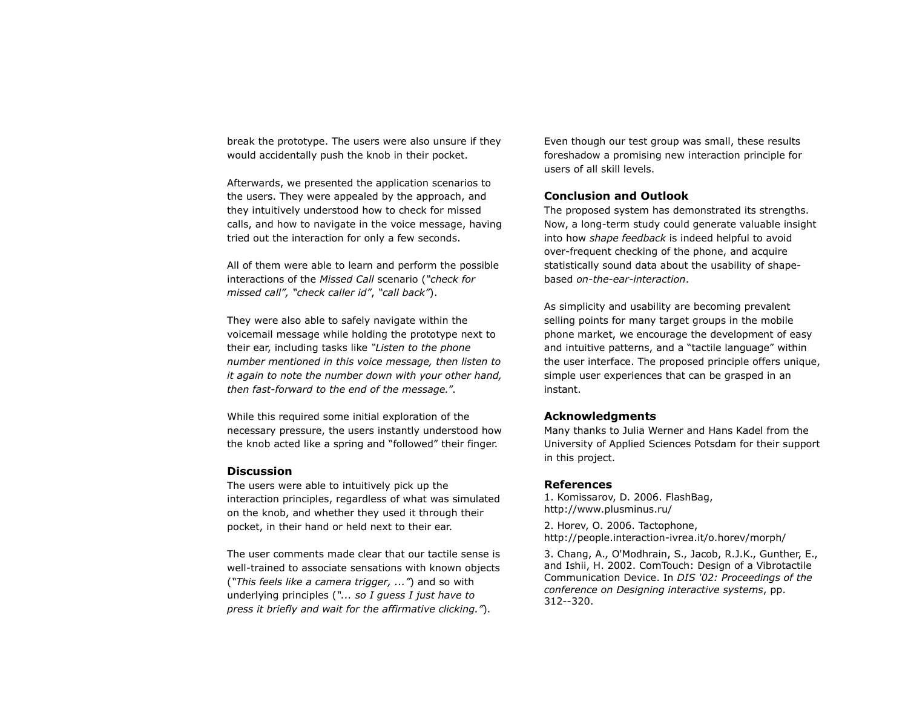break the prototype. The users were also unsure if they would accidentally push the knob in their pocket.

Afterwards, we presented the application scenarios to the users. They were appealed by the approach, and they intuitively understood how to check for missed calls, and how to navigate in the voice message, having tried out the interaction for only a few seconds.

All of them were able to learn and perform the possible interactions of the *Missed Call* scenario (*"check for missed call", "check caller id"*, *"call back"*).

They were also able to safely navigate within the voicemail message while holding the prototype next to their ear, including tasks like *"Listen to the phone number mentioned in this voice message, then listen to it again to note the number down with your other hand, then fast-forward to the end of the message.*".

While this required some initial exploration of the necessary pressure, the users instantly understood how the knob acted like a spring and "followed" their finger.

## **Discussion**

The users were able to intuitively pick up the interaction principles, regardless of what was simulated on the knob, and whether they used it through their pocket, in their hand or held next to their ear.

The user comments made clear that our tactile sense is well-trained to associate sensations with known objects (*"This feels like a camera trigger, ..."*) and so with underlying principles (*"... so I guess I just have to press it briefly and wait for the affirmative clicking."*).

Even though our test group was small, these results foreshadow a promising new interaction principle for users of all skill levels.

# **Conclusion and Outlook**

The proposed system has demonstrated its strengths. Now, a long-term study could generate valuable insight into how *shape feedback* is indeed helpful to avoid over-frequent checking of the phone, and acquire statistically sound data about the usability of shapebased *on-the-ear-interaction*.

As simplicity and usability are becoming prevalent selling points for many target groups in the mobile phone market, we encourage the development of easy and intuitive patterns, and a "tactile language" within the user interface. The proposed principle offers unique, simple user experiences that can be grasped in an instant.

# **Acknowledgments**

Many thanks to Julia Werner and Hans Kadel from the University of Applied Sciences Potsdam for their support in this project.

## **References**

1. Komissarov, D. 2006. FlashBag, http://www.plusminus.ru/

2. Horev, O. 2006. Tactophone, http://people.interaction-ivrea.it/o.horev/morph/

3. Chang, A., O'Modhrain, S., Jacob, R.J.K., Gunther, E., and Ishii, H. 2002. ComTouch: Design of a Vibrotactile Communication Device. In *DIS '02: Proceedings of the conference on Designing interactive systems*, pp. 312--320.